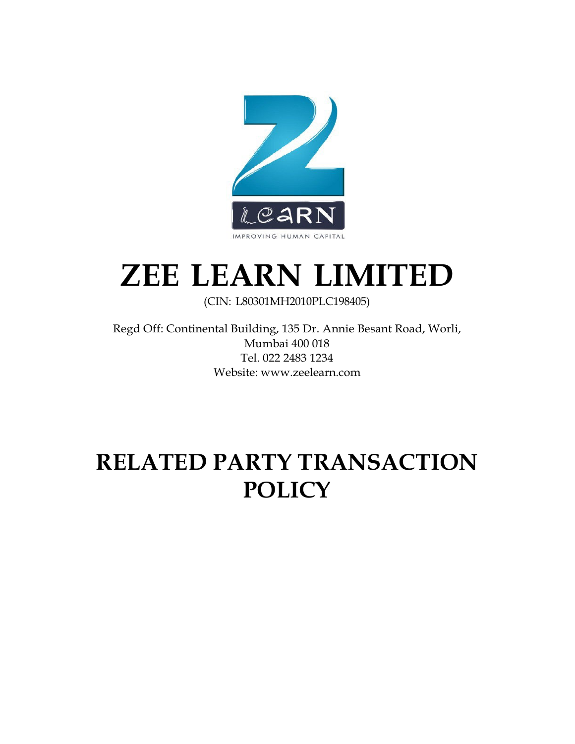

# **ZEE LEARN LIMITED**

(CIN: L80301MH2010PLC198405)

Regd Off: Continental Building, 135 Dr. Annie Besant Road, Worli, Mumbai 400 018 Tel. 022 2483 1234 Website: [www.zeelearn.com](http://www.zeelearn.com/)

# **RELATED PARTY TRANSACTION POLICY**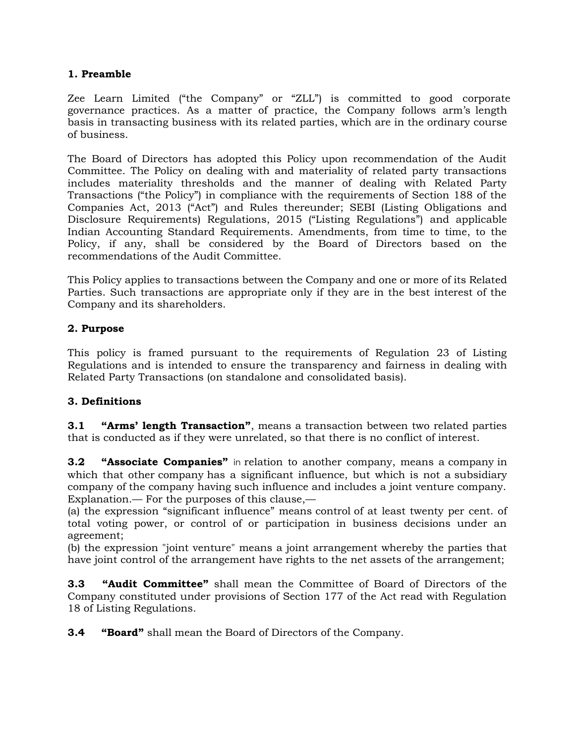#### **1. Preamble**

Zee Learn Limited ("the Company" or "ZLL") is committed to good corporate governance practices. As a matter of practice, the Company follows arm's length basis in transacting business with its related parties, which are in the ordinary course of business.

The Board of Directors has adopted this Policy upon recommendation of the Audit Committee. The Policy on dealing with and materiality of related party transactions includes materiality thresholds and the manner of dealing with Related Party Transactions ("the Policy") in compliance with the requirements of Section 188 of the Companies Act, 2013 ("Act") and Rules thereunder; SEBI (Listing Obligations and Disclosure Requirements) Regulations, 2015 ("Listing Regulations") and applicable Indian Accounting Standard Requirements. Amendments, from time to time, to the Policy, if any, shall be considered by the Board of Directors based on the recommendations of the Audit Committee.

This Policy applies to transactions between the Company and one or more of its Related Parties. Such transactions are appropriate only if they are in the best interest of the Company and its shareholders.

## **2. Purpose**

This policy is framed pursuant to the requirements of Regulation 23 of Listing Regulations and is intended to ensure the transparency and fairness in dealing with Related Party Transactions (on standalone and consolidated basis).

#### **3. Definitions**

**3.1 "Arms' length Transaction"**, means a transaction between two related parties that is conducted as if they were unrelated, so that there is no conflict of interest.

**3.2 "Associate Companies"** in relation to another company, means a [company](https://www.mca.gov.in/content/mca/global/en/acts-rules/ebooks/acts.html?act=NTk2MQ==) in which that other [company](https://www.mca.gov.in/content/mca/global/en/acts-rules/ebooks/acts.html?act=NTk2MQ==) has a significant influence, but which is not a [subsidiary](https://www.mca.gov.in/content/mca/global/en/acts-rules/ebooks/acts.html?act=NTk2MQ==)  [company](https://www.mca.gov.in/content/mca/global/en/acts-rules/ebooks/acts.html?act=NTk2MQ==) of the [company](https://www.mca.gov.in/content/mca/global/en/acts-rules/ebooks/acts.html?act=NTk2MQ==) having such influence and includes a [joint venture](https://www.mca.gov.in/content/mca/global/en/acts-rules/ebooks/acts.html?act=NTk2MQ==) company. Explanation.— For the purposes of this clause,—

(a) the expression "significant influence" means [control](https://www.mca.gov.in/content/mca/global/en/acts-rules/ebooks/acts.html?act=NTk2MQ==) of at least twenty per cent. of total voting power, or control of or participation in business decisions under an agreement;

(b) the expression ["joint venture"](https://www.mca.gov.in/content/mca/global/en/acts-rules/ebooks/acts.html?act=NTk2MQ==) means a joint arrangement whereby the parties that have joint [control](https://www.mca.gov.in/content/mca/global/en/acts-rules/ebooks/acts.html?act=NTk2MQ==) of the arrangement have rights to the net assets of the arrangement;

**3.3 "Audit Committee"** shall mean the Committee of Board of Directors of the Company constituted under provisions of Section 177 of the Act read with Regulation 18 of Listing Regulations.

**3.4 "Board"** shall mean the Board of Directors of the Company.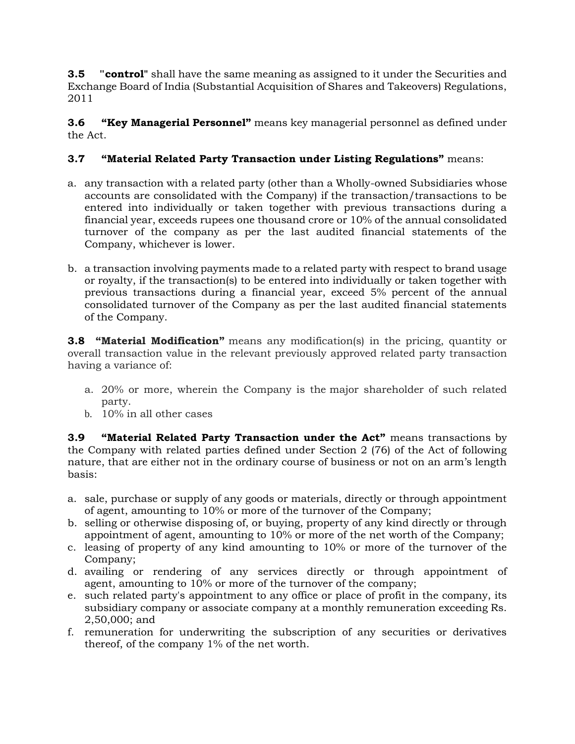**3.5 "control"** shall have the same meaning as assigned to it under the Securities and Exchange Board of India (Substantial Acquisition of Shares and Takeovers) Regulations, 2011

**3.6 "Key Managerial Personnel"** means key managerial personnel as defined under the Act.

# **3.7 "Material Related Party Transaction under Listing Regulations"** means:

- a. any transaction with a related party (other than a Wholly-owned Subsidiaries whose accounts are consolidated with the Company) if the transaction/transactions to be entered into individually or taken together with previous transactions during a financial year, exceeds rupees one thousand crore or 10% of the annual consolidated turnover of the company as per the last audited financial statements of the Company, whichever is lower.
- b. a transaction involving payments made to a related party with respect to brand usage or royalty, if the transaction(s) to be entered into individually or taken together with previous transactions during a financial year, exceed 5% percent of the annual consolidated turnover of the Company as per the last audited financial statements of the Company.

**3.8 "Material Modification"** means any modification(s) in the pricing, quantity or overall transaction value in the relevant previously approved related party transaction having a variance of:

- a. 20% or more, wherein the Company is the major shareholder of such related party.
- b. 10% in all other cases

**3.9 "Material Related Party Transaction under the Act"** means transactions by the Company with related parties defined under Section 2 (76) of the Act of following nature, that are either not in the ordinary course of business or not on an arm's length basis:

- a. sale, purchase or supply of any goods or materials, directly or through appointment of agent, amounting to 10% or more of the turnover of the Company;
- b. selling or otherwise disposing of, or buying, property of any kind directly or through appointment of agent, amounting to 10% or more of the net worth of the Company;
- c. leasing of property of any kind amounting to 10% or more of the turnover of the Company;
- d. availing or rendering of any services directly or through appointment of agent, amounting to 10% or more of the turnover of the company;
- e. such related party's appointment to any office or place of profit in the company, its subsidiary company or associate company at a monthly remuneration exceeding Rs. 2,50,000; and
- f. remuneration for underwriting the subscription of any securities or derivatives thereof, of the company 1% of the net worth.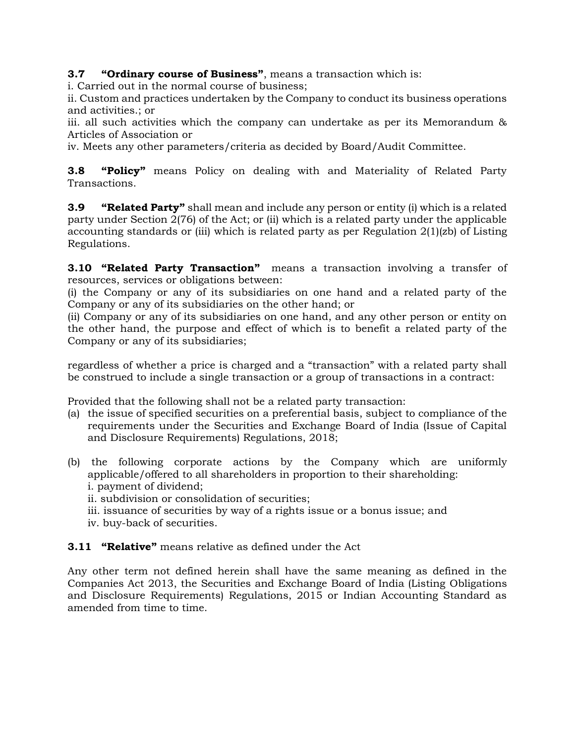**3.7 "Ordinary course of Business"**, means a transaction which is:

i. Carried out in the normal course of business;

ii. Custom and practices undertaken by the Company to conduct its business operations and activities.; or

iii. all such activities which the company can undertake as per its Memorandum & Articles of Association or

iv. Meets any other parameters/criteria as decided by Board/Audit Committee.

**3.8 "Policy"** means Policy on dealing with and Materiality of Related Party Transactions.

**3.9 "Related Party"** shall mean and include any person or entity (i) which is a related party under Section 2(76) of the Act; or (ii) which is a related party under the applicable accounting standards or (iii) which is related party as per Regulation  $2(1)(zb)$  of Listing Regulations.

**3.10 "Related Party Transaction"** means a transaction involving a transfer of resources, services or obligations between:

(i) the Company or any of its subsidiaries on one hand and a related party of the Company or any of its subsidiaries on the other hand; or

(ii) Company or any of its subsidiaries on one hand, and any other person or entity on the other hand, the purpose and effect of which is to benefit a related party of the Company or any of its subsidiaries;

regardless of whether a price is charged and a "transaction" with a related party shall be construed to include a single transaction or a group of transactions in a contract:

Provided that the following shall not be a related party transaction:

- (a) the issue of specified securities on a preferential basis, subject to compliance of the requirements under the Securities and Exchange Board of India (Issue of Capital and Disclosure Requirements) Regulations, 2018;
- (b) the following corporate actions by the Company which are uniformly applicable/offered to all shareholders in proportion to their shareholding: i. payment of dividend;
	- ii. subdivision or consolidation of securities;
	- iii. issuance of securities by way of a rights issue or a bonus issue; and
	- iv. buy-back of securities.
- **3.11 "Relative"** means relative as defined under the Act

Any other term not defined herein shall have the same meaning as defined in the Companies Act 2013, the Securities and Exchange Board of India (Listing Obligations and Disclosure Requirements) Regulations, 2015 or Indian Accounting Standard as amended from time to time.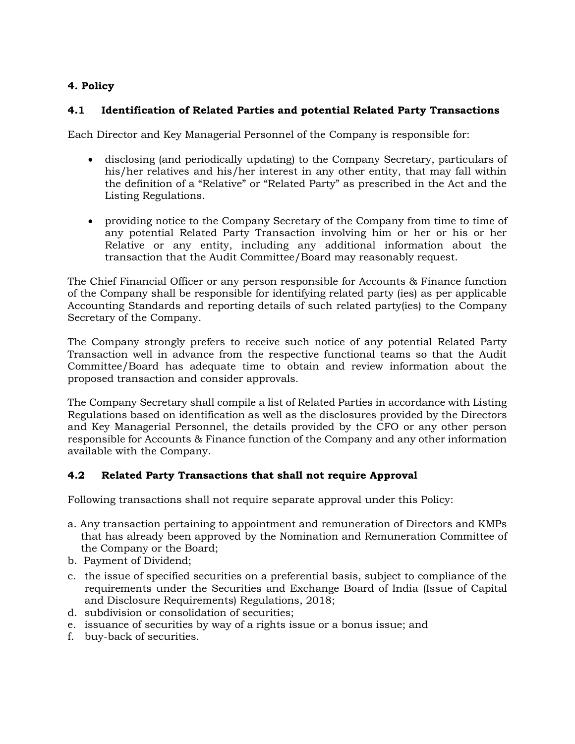## **4. Policy**

#### **4.1 Identification of Related Parties and potential Related Party Transactions**

Each Director and Key Managerial Personnel of the Company is responsible for:

- disclosing (and periodically updating) to the Company Secretary, particulars of his/her relatives and his/her interest in any other entity, that may fall within the definition of a "Relative" or "Related Party" as prescribed in the Act and the Listing Regulations.
- providing notice to the Company Secretary of the Company from time to time of any potential Related Party Transaction involving him or her or his or her Relative or any entity, including any additional information about the transaction that the Audit Committee/Board may reasonably request.

The Chief Financial Officer or any person responsible for Accounts & Finance function of the Company shall be responsible for identifying related party (ies) as per applicable Accounting Standards and reporting details of such related party(ies) to the Company Secretary of the Company.

The Company strongly prefers to receive such notice of any potential Related Party Transaction well in advance from the respective functional teams so that the Audit Committee/Board has adequate time to obtain and review information about the proposed transaction and consider approvals.

The Company Secretary shall compile a list of Related Parties in accordance with Listing Regulations based on identification as well as the disclosures provided by the Directors and Key Managerial Personnel, the details provided by the CFO or any other person responsible for Accounts & Finance function of the Company and any other information available with the Company.

## **4.2 Related Party Transactions that shall not require Approval**

Following transactions shall not require separate approval under this Policy:

- a. Any transaction pertaining to appointment and remuneration of Directors and KMPs that has already been approved by the Nomination and Remuneration Committee of the Company or the Board;
- b. Payment of Dividend;
- c. the issue of specified securities on a preferential basis, subject to compliance of the requirements under the Securities and Exchange Board of India (Issue of Capital and Disclosure Requirements) Regulations, 2018;
- d. subdivision or consolidation of securities;
- e. issuance of securities by way of a rights issue or a bonus issue; and
- f. buy-back of securities.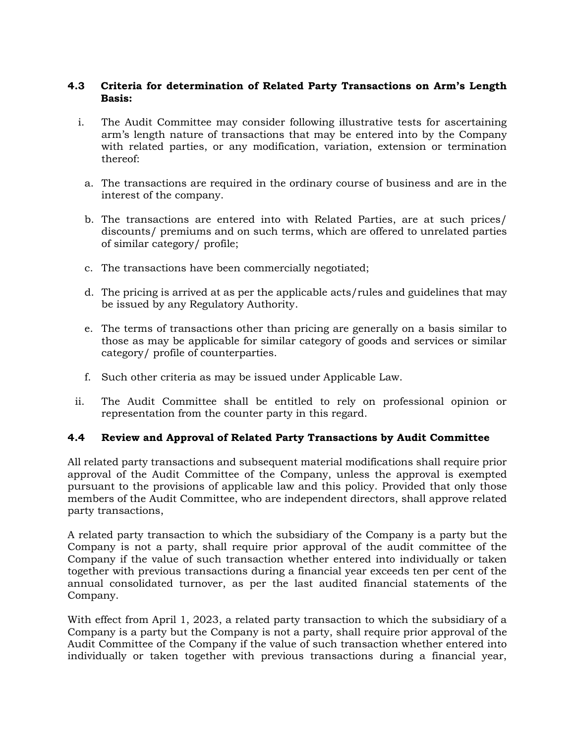#### **4.3 Criteria for determination of Related Party Transactions on Arm's Length Basis:**

- i. The Audit Committee may consider following illustrative tests for ascertaining arm's length nature of transactions that may be entered into by the Company with related parties, or any modification, variation, extension or termination thereof:
	- a. The transactions are required in the ordinary course of business and are in the interest of the company.
	- b. The transactions are entered into with Related Parties, are at such prices/ discounts/ premiums and on such terms, which are offered to unrelated parties of similar category/ profile;
	- c. The transactions have been commercially negotiated;
	- d. The pricing is arrived at as per the applicable acts/rules and guidelines that may be issued by any Regulatory Authority.
	- e. The terms of transactions other than pricing are generally on a basis similar to those as may be applicable for similar category of goods and services or similar category/ profile of counterparties.
	- f. Such other criteria as may be issued under Applicable Law.
- ii. The Audit Committee shall be entitled to rely on professional opinion or representation from the counter party in this regard.

#### **4.4 Review and Approval of Related Party Transactions by Audit Committee**

All related party transactions and subsequent material modifications shall require prior approval of the Audit Committee of the Company, unless the approval is exempted pursuant to the provisions of applicable law and this policy. Provided that only those members of the Audit Committee, who are independent directors, shall approve related party transactions,

A related party transaction to which the subsidiary of the Company is a party but the Company is not a party, shall require prior approval of the audit committee of the Company if the value of such transaction whether entered into individually or taken together with previous transactions during a financial year exceeds ten per cent of the annual consolidated turnover, as per the last audited financial statements of the Company.

With effect from April 1, 2023, a related party transaction to which the subsidiary of a Company is a party but the Company is not a party, shall require prior approval of the Audit Committee of the Company if the value of such transaction whether entered into individually or taken together with previous transactions during a financial year,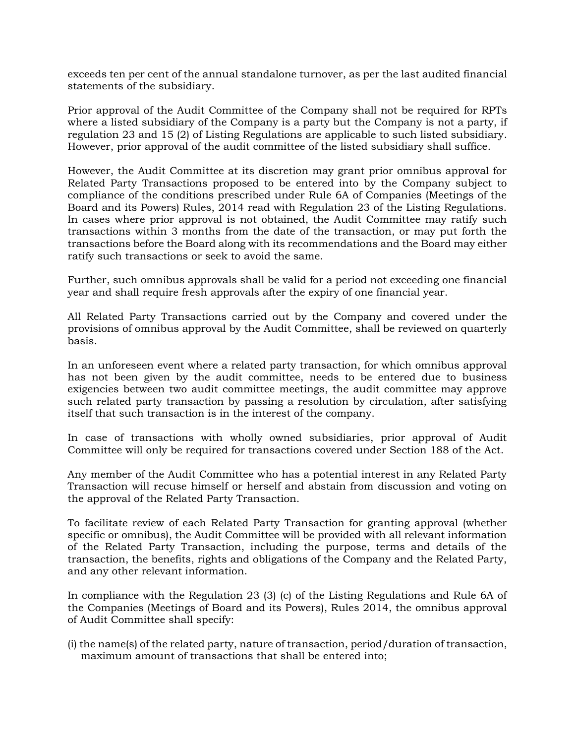exceeds ten per cent of the annual standalone turnover, as per the last audited financial statements of the subsidiary.

Prior approval of the Audit Committee of the Company shall not be required for RPTs where a listed subsidiary of the Company is a party but the Company is not a party, if regulation 23 and 15 (2) of Listing Regulations are applicable to such listed subsidiary. However, prior approval of the audit committee of the listed subsidiary shall suffice.

However, the Audit Committee at its discretion may grant prior omnibus approval for Related Party Transactions proposed to be entered into by the Company subject to compliance of the conditions prescribed under Rule 6A of Companies (Meetings of the Board and its Powers) Rules, 2014 read with Regulation 23 of the Listing Regulations. In cases where prior approval is not obtained, the Audit Committee may ratify such transactions within 3 months from the date of the transaction, or may put forth the transactions before the Board along with its recommendations and the Board may either ratify such transactions or seek to avoid the same.

Further, such omnibus approvals shall be valid for a period not exceeding one financial year and shall require fresh approvals after the expiry of one financial year.

All Related Party Transactions carried out by the Company and covered under the provisions of omnibus approval by the Audit Committee, shall be reviewed on quarterly basis.

In an unforeseen event where a related party transaction, for which omnibus approval has not been given by the audit committee, needs to be entered due to business exigencies between two audit committee meetings, the audit committee may approve such related party transaction by passing a resolution by circulation, after satisfying itself that such transaction is in the interest of the company.

In case of transactions with wholly owned subsidiaries, prior approval of Audit Committee will only be required for transactions covered under Section 188 of the Act.

Any member of the Audit Committee who has a potential interest in any Related Party Transaction will recuse himself or herself and abstain from discussion and voting on the approval of the Related Party Transaction.

To facilitate review of each Related Party Transaction for granting approval (whether specific or omnibus), the Audit Committee will be provided with all relevant information of the Related Party Transaction, including the purpose, terms and details of the transaction, the benefits, rights and obligations of the Company and the Related Party, and any other relevant information.

In compliance with the Regulation 23 (3) (c) of the Listing Regulations and Rule 6A of the Companies (Meetings of Board and its Powers), Rules 2014, the omnibus approval of Audit Committee shall specify:

(i) the name(s) of the related party, nature of transaction, period/duration of transaction, maximum amount of transactions that shall be entered into;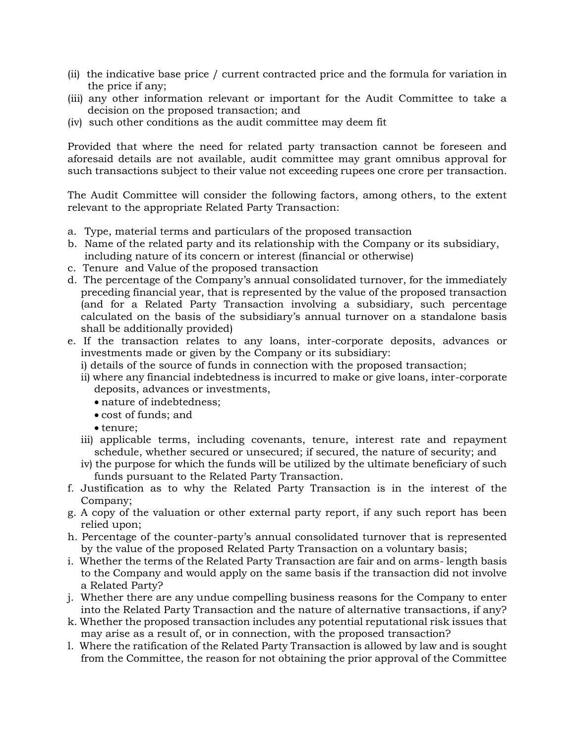- (ii) the indicative base price / current contracted price and the formula for variation in the price if any;
- (iii) any other information relevant or important for the Audit Committee to take a decision on the proposed transaction; and
- (iv) such other conditions as the audit committee may deem fit

Provided that where the need for related party transaction cannot be foreseen and aforesaid details are not available, audit committee may grant omnibus approval for such transactions subject to their value not exceeding rupees one crore per transaction.

The Audit Committee will consider the following factors, among others, to the extent relevant to the appropriate Related Party Transaction:

- a. Type, material terms and particulars of the proposed transaction
- b. Name of the related party and its relationship with the Company or its subsidiary, including nature of its concern or interest (financial or otherwise)
- c. Tenure and Value of the proposed transaction
- d. The percentage of the Company's annual consolidated turnover, for the immediately preceding financial year, that is represented by the value of the proposed transaction (and for a Related Party Transaction involving a subsidiary, such percentage calculated on the basis of the subsidiary's annual turnover on a standalone basis shall be additionally provided)
- e. If the transaction relates to any loans, inter-corporate deposits, advances or investments made or given by the Company or its subsidiary:
	- i) details of the source of funds in connection with the proposed transaction;
	- ii) where any financial indebtedness is incurred to make or give loans, inter-corporate deposits, advances or investments,
		- nature of indebtedness;
		- cost of funds; and
		- tenure;
	- iii) applicable terms, including covenants, tenure, interest rate and repayment schedule, whether secured or unsecured; if secured, the nature of security; and
	- iv) the purpose for which the funds will be utilized by the ultimate beneficiary of such funds pursuant to the Related Party Transaction.
- f. Justification as to why the Related Party Transaction is in the interest of the Company;
- g. A copy of the valuation or other external party report, if any such report has been relied upon;
- h. Percentage of the counter-party's annual consolidated turnover that is represented by the value of the proposed Related Party Transaction on a voluntary basis;
- i. Whether the terms of the Related Party Transaction are fair and on arms- length basis to the Company and would apply on the same basis if the transaction did not involve a Related Party?
- j. Whether there are any undue compelling business reasons for the Company to enter into the Related Party Transaction and the nature of alternative transactions, if any?
- k. Whether the proposed transaction includes any potential reputational risk issues that may arise as a result of, or in connection, with the proposed transaction?
- l. Where the ratification of the Related Party Transaction is allowed by law and is sought from the Committee, the reason for not obtaining the prior approval of the Committee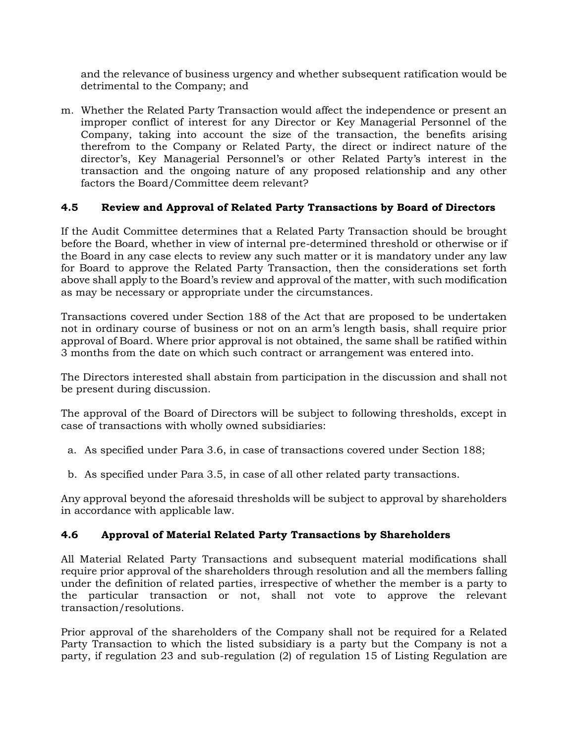and the relevance of business urgency and whether subsequent ratification would be detrimental to the Company; and

m. Whether the Related Party Transaction would affect the independence or present an improper conflict of interest for any Director or Key Managerial Personnel of the Company, taking into account the size of the transaction, the benefits arising therefrom to the Company or Related Party, the direct or indirect nature of the director's, Key Managerial Personnel's or other Related Party's interest in the transaction and the ongoing nature of any proposed relationship and any other factors the Board/Committee deem relevant?

## **4.5 Review and Approval of Related Party Transactions by Board of Directors**

If the Audit Committee determines that a Related Party Transaction should be brought before the Board, whether in view of internal pre-determined threshold or otherwise or if the Board in any case elects to review any such matter or it is mandatory under any law for Board to approve the Related Party Transaction, then the considerations set forth above shall apply to the Board's review and approval of the matter, with such modification as may be necessary or appropriate under the circumstances.

Transactions covered under Section 188 of the Act that are proposed to be undertaken not in ordinary course of business or not on an arm's length basis, shall require prior approval of Board. Where prior approval is not obtained, the same shall be ratified within 3 months from the date on which such contract or arrangement was entered into.

The Directors interested shall abstain from participation in the discussion and shall not be present during discussion.

The approval of the Board of Directors will be subject to following thresholds, except in case of transactions with wholly owned subsidiaries:

- a. As specified under Para 3.6, in case of transactions covered under Section 188;
- b. As specified under Para 3.5, in case of all other related party transactions.

Any approval beyond the aforesaid thresholds will be subject to approval by shareholders in accordance with applicable law.

## **4.6 Approval of Material Related Party Transactions by Shareholders**

All Material Related Party Transactions and subsequent material modifications shall require prior approval of the shareholders through resolution and all the members falling under the definition of related parties, irrespective of whether the member is a party to the particular transaction or not, shall not vote to approve the relevant transaction/resolutions.

Prior approval of the shareholders of the Company shall not be required for a Related Party Transaction to which the listed subsidiary is a party but the Company is not a party, if regulation 23 and sub-regulation (2) of regulation 15 of Listing Regulation are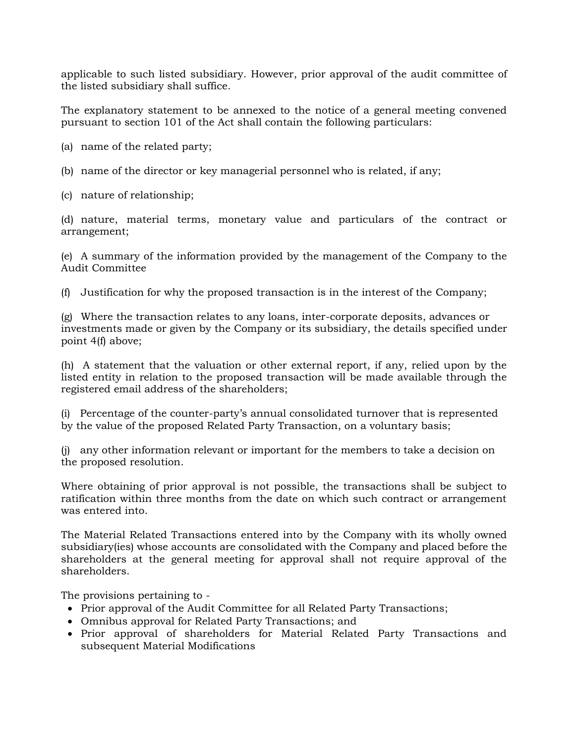applicable to such listed subsidiary. However, prior approval of the audit committee of the listed subsidiary shall suffice.

The explanatory statement to be annexed to the notice of a general meeting convened pursuant to section 101 of the Act shall contain the following particulars:

- (a) name of the related party;
- (b) name of the director or key managerial personnel who is related, if any;
- (c) nature of relationship;

(d) nature, material terms, monetary value and particulars of the contract or arrangement;

(e) A summary of the information provided by the management of the Company to the Audit Committee

(f) Justification for why the proposed transaction is in the interest of the Company;

(g) Where the transaction relates to any loans, inter-corporate deposits, advances or investments made or given by the Company or its subsidiary, the details specified under point 4(f) above;

(h) A statement that the valuation or other external report, if any, relied upon by the listed entity in relation to the proposed transaction will be made available through the registered email address of the shareholders;

(i) Percentage of the counter-party's annual consolidated turnover that is represented by the value of the proposed Related Party Transaction, on a voluntary basis;

(j) any other information relevant or important for the members to take a decision on the proposed resolution.

Where obtaining of prior approval is not possible, the transactions shall be subject to ratification within three months from the date on which such contract or arrangement was entered into.

The Material Related Transactions entered into by the Company with its wholly owned subsidiary(ies) whose accounts are consolidated with the Company and placed before the shareholders at the general meeting for approval shall not require approval of the shareholders.

The provisions pertaining to -

- Prior approval of the Audit Committee for all Related Party Transactions;
- Omnibus approval for Related Party Transactions; and
- Prior approval of shareholders for Material Related Party Transactions and subsequent Material Modifications